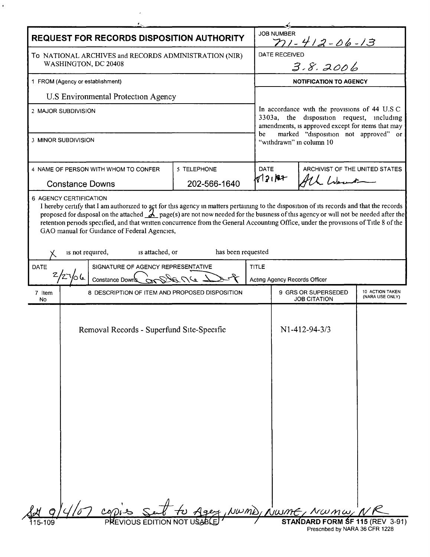| <b>REQUEST FOR RECORDS DISPOSITION AUTHORITY</b>                              |                                                                                                                                                                                                                                                                                                                                                                        |                    |              | <b>JOB NUMBER</b><br><u>n1-412-06-13</u>                                                                                                                                                      |                                                                                                |                                    |  |
|-------------------------------------------------------------------------------|------------------------------------------------------------------------------------------------------------------------------------------------------------------------------------------------------------------------------------------------------------------------------------------------------------------------------------------------------------------------|--------------------|--------------|-----------------------------------------------------------------------------------------------------------------------------------------------------------------------------------------------|------------------------------------------------------------------------------------------------|------------------------------------|--|
| To NATIONAL ARCHIVES and RECORDS ADMINISTRATION (NIR)<br>WASHINGTON, DC 20408 |                                                                                                                                                                                                                                                                                                                                                                        |                    |              | DATE RECEIVED<br>3.8.2006                                                                                                                                                                     |                                                                                                |                                    |  |
| 1 FROM (Agency or establishment)                                              |                                                                                                                                                                                                                                                                                                                                                                        |                    |              | <b>NOTIFICATION TO AGENCY</b>                                                                                                                                                                 |                                                                                                |                                    |  |
| U.S Environmental Protection Agency                                           |                                                                                                                                                                                                                                                                                                                                                                        |                    |              |                                                                                                                                                                                               |                                                                                                |                                    |  |
| 2 MAJOR SUBDIVISION                                                           |                                                                                                                                                                                                                                                                                                                                                                        |                    |              | In accordance with the provisions of 44 U.S C<br>3303a, the disposition request, including<br>amendments, is approved except for items that may<br>marked "disposition not approved" or<br>be |                                                                                                |                                    |  |
| 3 MINOR SUBDIVISION                                                           |                                                                                                                                                                                                                                                                                                                                                                        |                    |              | "withdrawn" in column 10                                                                                                                                                                      |                                                                                                |                                    |  |
|                                                                               | 5 TELEPHONE<br>4 NAME OF PERSON WITH WHOM TO CONFER                                                                                                                                                                                                                                                                                                                    |                    | <b>DATE</b>  | ARCHIVIST OF THE UNITED STATES                                                                                                                                                                |                                                                                                |                                    |  |
| <b>Constance Downs</b>                                                        |                                                                                                                                                                                                                                                                                                                                                                        | 202-566-1640       | 812187       |                                                                                                                                                                                               | All Went                                                                                       |                                    |  |
|                                                                               | proposed for disposal on the attached $\chi$ page(s) are not now needed for the business of this agency or will not be needed after the<br>retention periods specified, and that written concurrence from the General Accounting Office, under the provisions of Title 8 of the<br>GAO manual for Guidance of Federal Agencies,<br>is attached, or<br>is not required, | has been requested |              |                                                                                                                                                                                               |                                                                                                |                                    |  |
| DATE<br>SIGNATURE OF AGENCY REPRESENTATIVE                                    |                                                                                                                                                                                                                                                                                                                                                                        |                    | <b>TITLE</b> |                                                                                                                                                                                               |                                                                                                |                                    |  |
| عا ٥<br>DA UC<br>Constance Downs                                              |                                                                                                                                                                                                                                                                                                                                                                        |                    |              | Acting Agency Records Officer                                                                                                                                                                 |                                                                                                |                                    |  |
| 7 Item<br>No                                                                  | 8 DESCRIPTION OF ITEM AND PROPOSED DISPOSITION                                                                                                                                                                                                                                                                                                                         |                    |              | 9 GRS OR SUPERSEDED<br><b>JOB CITATION</b>                                                                                                                                                    |                                                                                                | 10 ACTION TAKEN<br>(NARA USE ONLY) |  |
|                                                                               | Removal Records - Superfund Site-Specific                                                                                                                                                                                                                                                                                                                              |                    |              |                                                                                                                                                                                               | N1-412-94-3/3                                                                                  |                                    |  |
|                                                                               | copies Sent to Age                                                                                                                                                                                                                                                                                                                                                     |                    |              |                                                                                                                                                                                               | Agex, NWMD, NWME, NWMW, N<br>STANDARD FORM SF 115 (REV 3-91)<br>Prescribed by NARA 36 CFR 1228 |                                    |  |

 $\mathcal{L}^{\text{max}}_{\text{max}}$ 

 $\mathbf{r}$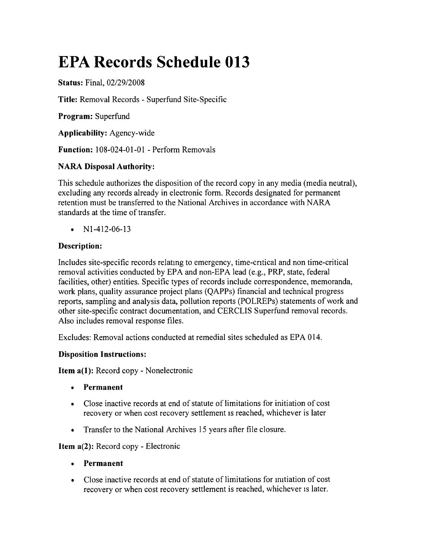# **EPA Records Schedule 013**

**Status:** Final, *02/29/2008*

**Title:** Removal Records - Superfund Site-Specific

**Program:** Superfund

**Applicability:** Agency-wide

**Function:** 108-024-01-01 - Perform Removals

# **NARA Disposal Authority:**

This schedule authorizes the disposition of the record copy in any media (media neutral), excluding any records already in electronic form. Records designated for permanent retention must be transferred to the National Archives in accordance with NARA standards at the time of transfer.

•  $N1-412-06-13$ 

## **Description:**

Includes site-specific records relatmg to emergency, time-cntical and non time-critical removal activities conducted by EPA and non-EPA lead (e.g., PRP, state, federal facilities, other) entities. Specific types of records include correspondence, memoranda, work plans, quality assurance project plans (QAPPs) financial and technical progress reports, sampling and analysis data, pollution reports (POLREPs) statements of work and other site-specific contract documentation, and CERCLIS Superfund removal records. Also includes removal response files.

Excludes: Removal actions conducted at remedial sites scheduled as EPA 014.

## **Disposition Instructions:**

**Item a(1):** Record copy - Nonelectronic

- **• Permanent**
- • Close inactive records at end of statute of limitations for initiation of cost recovery or when cost recovery settlement IS reached, whichever is later
- Transfer to the National Archives 15 years after file closure.

**Item** a(2): Record copy - Electronic

- **• Permanent**
- Close inactive records at end of statute of limitations for initiation of cost recovery or when cost recovery settlement is reached, whichever is later.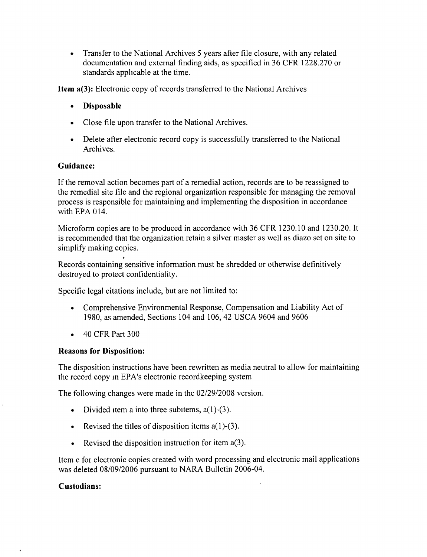• Transfer to the National Archives 5 years after file closure, with any related documentation and external finding aids, as specified in 36 CFR 1228.270 or standards applicable at the time.

Item a(3): Electronic copy of records transferred to the National Archives

- • Disposable
- Close file upon transfer to the National Archives.
- Delete after electronic record copy is successfully transferred to the National Archives.

### Guidance:

If the removal action becomes part of a remedial action, records are to be reassigned to the remedial site file and the regional organization responsible for managing the removal process is responsible for maintaining and implementing the disposition in accordance with EPA 014.

Microform copies are to be produced in accordance with 36 CFR 1230.10 and 1230.20. It is recommended that the organization retain a silver master as well as diazo set on site to simplify making copies.

Records containing sensitive information must be shredded or otherwise definitively destroyed to protect confidentiality.

Specific legal citations include, but are not limited to:

- • Comprehensive Environmental Response, Compensation and Liability Act of 1980, as amended, Sections 104 and 106, 42 USCA 9604 and 9606
- 40 CFR Part 300

#### Reasons for Disposition:

The disposition instructions have been rewritten as media neutral to allow for maintaining the record copy in EPA's electronic recordkeeping system

The following changes were made in the *02/29/2008* version.

- Divided item a into three subitems,  $a(1)$ - $(3)$ .
- Revised the titles of disposition items  $a(1)$ -(3).
- Revised the disposition instruction for item  $a(3)$ .

Item c for electronic copies created with word processing and electronic mail applications was deleted *08/09/2006* pursuant to NARA Bulletin 2006-04.

#### Custodians: